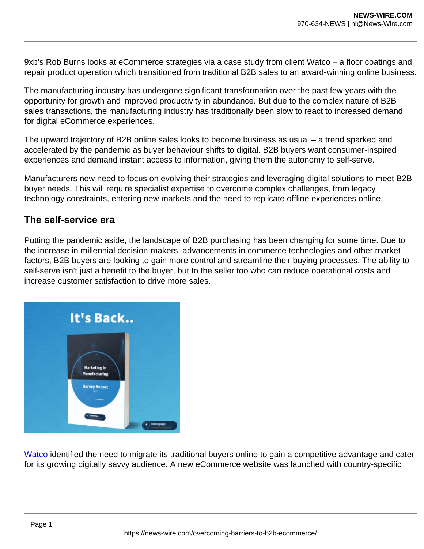9xb's Rob Burns looks at eCommerce strategies via a case study from client Watco – a floor coatings and repair product operation which transitioned from traditional B2B sales to an award-winning online business.

The manufacturing industry has undergone significant transformation over the past few years with the opportunity for growth and improved productivity in abundance. But due to the complex nature of B2B sales transactions, the manufacturing industry has traditionally been slow to react to increased demand for digital eCommerce experiences.

The upward trajectory of B2B online sales looks to become business as usual – a trend sparked and accelerated by the pandemic as buyer behaviour shifts to digital. B2B buyers want consumer-inspired experiences and demand instant access to information, giving them the autonomy to self-serve.

Manufacturers now need to focus on evolving their strategies and leveraging digital solutions to meet B2B buyer needs. This will require specialist expertise to overcome complex challenges, from legacy technology constraints, entering new markets and the need to replicate offline experiences online.

## The self-service era

Putting the pandemic aside, the landscape of B2B purchasing has been changing for some time. Due to the increase in millennial decision-makers, advancements in commerce technologies and other market factors, B2B buyers are looking to gain more control and streamline their buying processes. The ability to self-serve isn't just a benefit to the buyer, but to the seller too who can reduce operational costs and increase customer satisfaction to drive more sales.

[Watco](https://www.watco.co.uk/?keyword_k=watco&gclid=EAIaIQobChMIseaclNf58wIV0AyLCh1APw8FEAAYASAAEgK_gfD_BwE) identified the need to migrate its traditional buyers online to gain a competitive advantage and cater for its growing digitally savvy audience. A new eCommerce website was launched with country-specific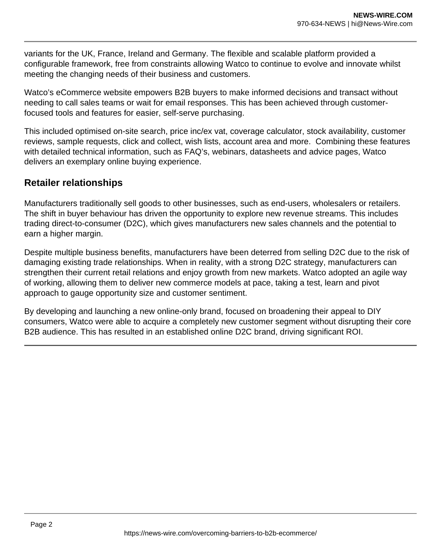variants for the UK, France, Ireland and Germany. The flexible and scalable platform provided a configurable framework, free from constraints allowing Watco to continue to evolve and innovate whilst meeting the changing needs of their business and customers.

Watco's eCommerce website empowers B2B buyers to make informed decisions and transact without needing to call sales teams or wait for email responses. This has been achieved through customerfocused tools and features for easier, self-serve purchasing.

This included optimised on-site search, price inc/ex vat, coverage calculator, stock availability, customer reviews, sample requests, click and collect, wish lists, account area and more. Combining these features with detailed technical information, such as FAQ's, webinars, datasheets and advice pages, Watco delivers an exemplary online buying experience.

## **Retailer relationships**

Manufacturers traditionally sell goods to other businesses, such as end-users, wholesalers or retailers. The shift in buyer behaviour has driven the opportunity to explore new revenue streams. This includes trading direct-to-consumer (D2C), which gives manufacturers new sales channels and the potential to earn a higher margin.

Despite multiple business benefits, manufacturers have been deterred from selling D2C due to the risk of damaging existing trade relationships. When in reality, with a strong D2C strategy, manufacturers can strengthen their current retail relations and enjoy growth from new markets. Watco adopted an agile way of working, allowing them to deliver new commerce models at pace, taking a test, learn and pivot approach to gauge opportunity size and customer sentiment.

By developing and launching a new online-only brand, focused on broadening their appeal to DIY consumers, Watco were able to acquire a completely new customer segment without disrupting their core B2B audience. This has resulted in an established online D2C brand, driving significant ROI.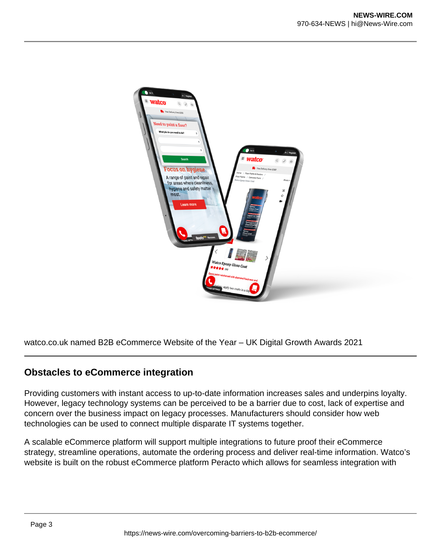

watco.co.uk named B2B eCommerce Website of the Year – UK Digital Growth Awards 2021

## **Obstacles to eCommerce integration**

Providing customers with instant access to up-to-date information increases sales and underpins loyalty. However, legacy technology systems can be perceived to be a barrier due to cost, lack of expertise and concern over the business impact on legacy processes. Manufacturers should consider how web technologies can be used to connect multiple disparate IT systems together.

A scalable eCommerce platform will support multiple integrations to future proof their eCommerce strategy, streamline operations, automate the ordering process and deliver real-time information. Watco's website is built on the robust eCommerce platform Peracto which allows for seamless integration with